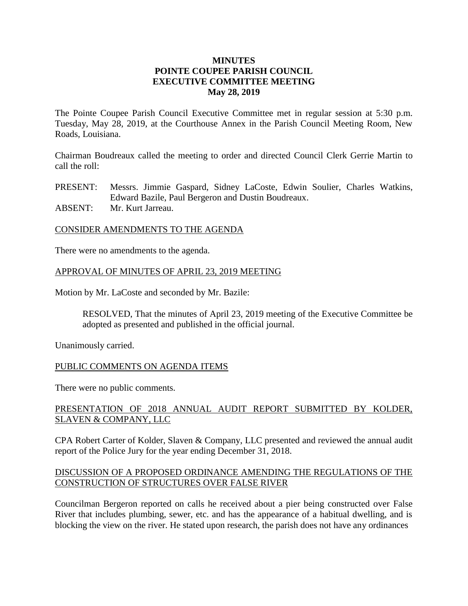## **MINUTES POINTE COUPEE PARISH COUNCIL EXECUTIVE COMMITTEE MEETING May 28, 2019**

The Pointe Coupee Parish Council Executive Committee met in regular session at 5:30 p.m. Tuesday, May 28, 2019, at the Courthouse Annex in the Parish Council Meeting Room, New Roads, Louisiana.

Chairman Boudreaux called the meeting to order and directed Council Clerk Gerrie Martin to call the roll:

PRESENT: Messrs. Jimmie Gaspard, Sidney LaCoste, Edwin Soulier, Charles Watkins, Edward Bazile, Paul Bergeron and Dustin Boudreaux.

ABSENT: Mr. Kurt Jarreau.

#### CONSIDER AMENDMENTS TO THE AGENDA

There were no amendments to the agenda.

### APPROVAL OF MINUTES OF APRIL 23, 2019 MEETING

Motion by Mr. LaCoste and seconded by Mr. Bazile:

RESOLVED, That the minutes of April 23, 2019 meeting of the Executive Committee be adopted as presented and published in the official journal.

Unanimously carried.

### PUBLIC COMMENTS ON AGENDA ITEMS

There were no public comments.

## PRESENTATION OF 2018 ANNUAL AUDIT REPORT SUBMITTED BY KOLDER, SLAVEN & COMPANY, LLC

CPA Robert Carter of Kolder, Slaven & Company, LLC presented and reviewed the annual audit report of the Police Jury for the year ending December 31, 2018.

## DISCUSSION OF A PROPOSED ORDINANCE AMENDING THE REGULATIONS OF THE CONSTRUCTION OF STRUCTURES OVER FALSE RIVER

Councilman Bergeron reported on calls he received about a pier being constructed over False River that includes plumbing, sewer, etc. and has the appearance of a habitual dwelling, and is blocking the view on the river. He stated upon research, the parish does not have any ordinances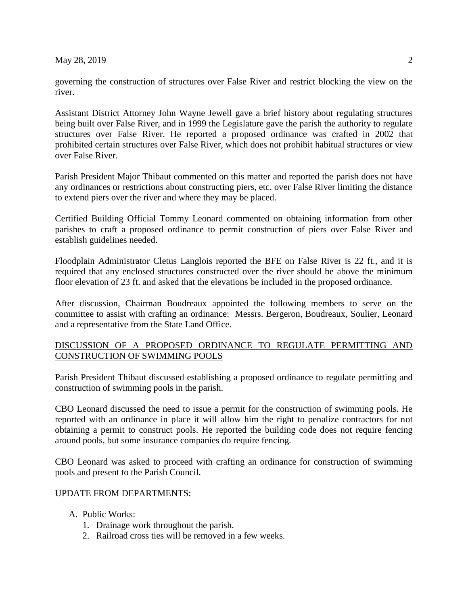May 28, 2019 2

governing the construction of structures over False River and restrict blocking the view on the river.

Assistant District Attorney John Wayne Jewell gave a brief history about regulating structures being built over False River, and in 1999 the Legislature gave the parish the authority to regulate structures over False River. He reported a proposed ordinance was crafted in 2002 that prohibited certain structures over False River, which does not prohibit habitual structures or view over False River.

Parish President Major Thibaut commented on this matter and reported the parish does not have any ordinances or restrictions about constructing piers, etc. over False River limiting the distance to extend piers over the river and where they may be placed.

Certified Building Official Tommy Leonard commented on obtaining information from other parishes to craft a proposed ordinance to permit construction of piers over False River and establish guidelines needed.

Floodplain Administrator Cletus Langlois reported the BFE on False River is 22 ft., and it is required that any enclosed structures constructed over the river should be above the minimum floor elevation of 23 ft. and asked that the elevations be included in the proposed ordinance.

After discussion, Chairman Boudreaux appointed the following members to serve on the committee to assist with crafting an ordinance: Messrs. Bergeron, Boudreaux, Soulier, Leonard and a representative from the State Land Office.

## DISCUSSION OF A PROPOSED ORDINANCE TO REGULATE PERMITTING AND CONSTRUCTION OF SWIMMING POOLS

Parish President Thibaut discussed establishing a proposed ordinance to regulate permitting and construction of swimming pools in the parish.

CBO Leonard discussed the need to issue a permit for the construction of swimming pools. He reported with an ordinance in place it will allow him the right to penalize contractors for not obtaining a permit to construct pools. He reported the building code does not require fencing around pools, but some insurance companies do require fencing.

CBO Leonard was asked to proceed with crafting an ordinance for construction of swimming pools and present to the Parish Council.

### UPDATE FROM DEPARTMENTS:

- A. Public Works:
	- 1. Drainage work throughout the parish.
	- 2. Railroad cross ties will be removed in a few weeks.